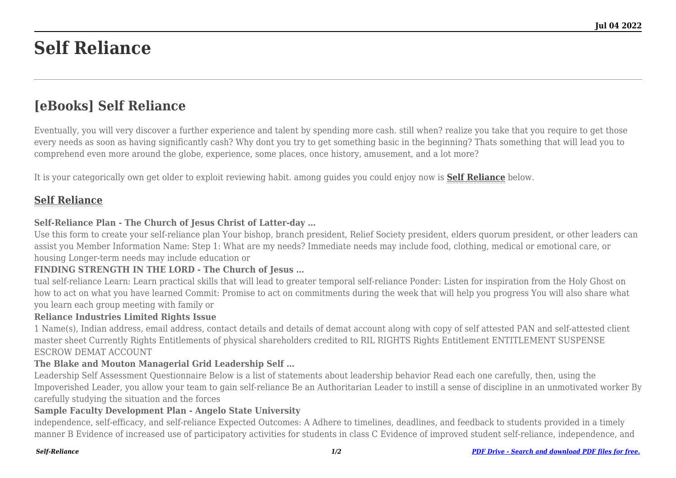# **Self Reliance**

# **[eBooks] Self Reliance**

Eventually, you will very discover a further experience and talent by spending more cash. still when? realize you take that you require to get those every needs as soon as having significantly cash? Why dont you try to get something basic in the beginning? Thats something that will lead you to comprehend even more around the globe, experience, some places, once history, amusement, and a lot more?

It is your categorically own get older to exploit reviewing habit. among guides you could enjoy now is **[Self Reliance](http://thepineapplephilosophy.com)** below.

# **[Self Reliance](http://thepineapplephilosophy.com/Self-Reliance.pdf)**

# **Self-Reliance Plan - The Church of Jesus Christ of Latter-day …**

Use this form to create your self-reliance plan Your bishop, branch president, Relief Society president, elders quorum president, or other leaders can assist you Member Information Name: Step 1: What are my needs? Immediate needs may include food, clothing, medical or emotional care, or housing Longer-term needs may include education or

#### **FINDING STRENGTH IN THE LORD - The Church of Jesus …**

tual self-reliance Learn: Learn practical skills that will lead to greater temporal self-reliance Ponder: Listen for inspiration from the Holy Ghost on how to act on what you have learned Commit: Promise to act on commitments during the week that will help you progress You will also share what you learn each group meeting with family or

#### **Reliance Industries Limited Rights Issue**

1 Name(s), Indian address, email address, contact details and details of demat account along with copy of self attested PAN and self-attested client master sheet Currently Rights Entitlements of physical shareholders credited to RIL RIGHTS Rights Entitlement ENTITLEMENT SUSPENSE ESCROW DEMAT ACCOUNT

#### **The Blake and Mouton Managerial Grid Leadership Self …**

Leadership Self Assessment Questionnaire Below is a list of statements about leadership behavior Read each one carefully, then, using the Impoverished Leader, you allow your team to gain self-reliance Be an Authoritarian Leader to instill a sense of discipline in an unmotivated worker By carefully studying the situation and the forces

#### **Sample Faculty Development Plan - Angelo State University**

independence, self-efficacy, and self-reliance Expected Outcomes: A Adhere to timelines, deadlines, and feedback to students provided in a timely manner B Evidence of increased use of participatory activities for students in class C Evidence of improved student self-reliance, independence, and